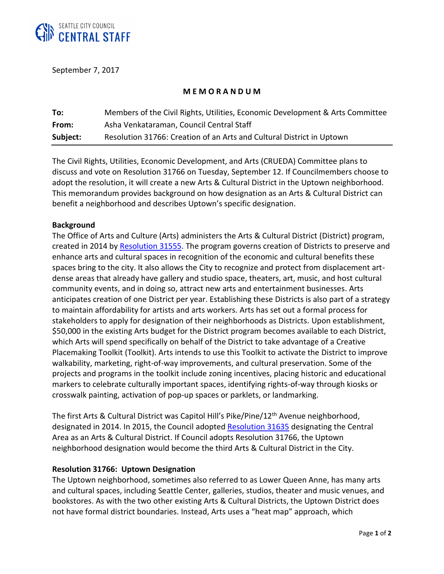

September 7, 2017

# **M E M O R A N D U M**

| To:      | Members of the Civil Rights, Utilities, Economic Development & Arts Committee |
|----------|-------------------------------------------------------------------------------|
| From:    | Asha Venkataraman, Council Central Staff                                      |
| Subject: | Resolution 31766: Creation of an Arts and Cultural District in Uptown         |

The Civil Rights, Utilities, Economic Development, and Arts (CRUEDA) Committee plans to discuss and vote on Resolution 31766 on Tuesday, September 12. If Councilmembers choose to adopt the resolution, it will create a new Arts & Cultural District in the Uptown neighborhood. This memorandum provides background on how designation as an Arts & Cultural District can benefit a neighborhood and describes Uptown's specific designation.

### **Background**

The Office of Arts and Culture (Arts) administers the Arts & Cultural District (District) program, created in 2014 by [Resolution 31555.](http://clerk.seattle.gov/~scripts/nph-brs.exe?s1=&s3=31555&s2=&s4=&Sect4=AND&l=200&Sect2=THESON&Sect3=PLURON&Sect5=RESNY&Sect6=HITOFF&d=RESF&p=1&u=%2F%7Epublic%2Fresny.htm&r=1&f=G) The program governs creation of Districts to preserve and enhance arts and cultural spaces in recognition of the economic and cultural benefits these spaces bring to the city. It also allows the City to recognize and protect from displacement artdense areas that already have gallery and studio space, theaters, art, music, and host cultural community events, and in doing so, attract new arts and entertainment businesses. Arts anticipates creation of one District per year. Establishing these Districts is also part of a strategy to maintain affordability for artists and arts workers. Arts has set out a formal process for stakeholders to apply for designation of their neighborhoods as Districts. Upon establishment, \$50,000 in the existing Arts budget for the District program becomes available to each District, which Arts will spend specifically on behalf of the District to take advantage of a Creative Placemaking Toolkit (Toolkit). Arts intends to use this Toolkit to activate the District to improve walkability, marketing, right-of-way improvements, and cultural preservation. Some of the projects and programs in the toolkit include zoning incentives, placing historic and educational markers to celebrate culturally important spaces, identifying rights-of-way through kiosks or crosswalk painting, activation of pop-up spaces or parklets, or landmarking.

The first Arts & Cultural District was Capitol Hill's Pike/Pine/12th Avenue neighborhood, designated in 2014. In 2015, the Council adopte[d Resolution 31635](https://seattle.legistar.com/LegislationDetail.aspx?ID=2524633&GUID=08B42141-9DFF-4535-AFEA-A4E4775AFE9E&Options=Advanced&Search=) designating the Central Area as an Arts & Cultural District. If Council adopts Resolution 31766, the Uptown neighborhood designation would become the third Arts & Cultural District in the City.

### **Resolution 31766: Uptown Designation**

The Uptown neighborhood, sometimes also referred to as Lower Queen Anne, has many arts and cultural spaces, including Seattle Center, galleries, studios, theater and music venues, and bookstores. As with the two other existing Arts & Cultural Districts, the Uptown District does not have formal district boundaries. Instead, Arts uses a "heat map" approach, which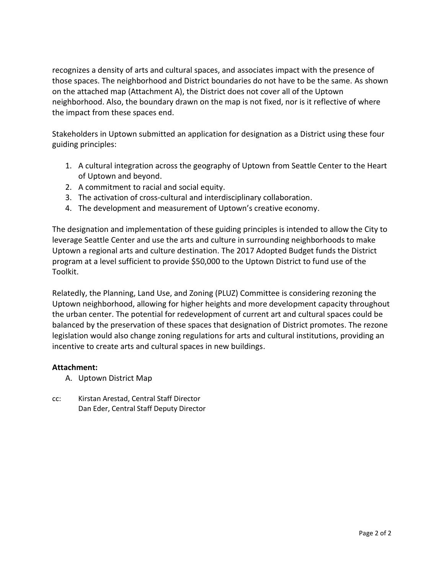recognizes a density of arts and cultural spaces, and associates impact with the presence of those spaces. The neighborhood and District boundaries do not have to be the same. As shown on the attached map (Attachment A), the District does not cover all of the Uptown neighborhood. Also, the boundary drawn on the map is not fixed, nor is it reflective of where the impact from these spaces end.

Stakeholders in Uptown submitted an application for designation as a District using these four guiding principles:

- 1. A cultural integration across the geography of Uptown from Seattle Center to the Heart of Uptown and beyond.
- 2. A commitment to racial and social equity.
- 3. The activation of cross-cultural and interdisciplinary collaboration.
- 4. The development and measurement of Uptown's creative economy.

The designation and implementation of these guiding principles is intended to allow the City to leverage Seattle Center and use the arts and culture in surrounding neighborhoods to make Uptown a regional arts and culture destination. The 2017 Adopted Budget funds the District program at a level sufficient to provide \$50,000 to the Uptown District to fund use of the Toolkit.

Relatedly, the Planning, Land Use, and Zoning (PLUZ) Committee is considering rezoning the Uptown neighborhood, allowing for higher heights and more development capacity throughout the urban center. The potential for redevelopment of current art and cultural spaces could be balanced by the preservation of these spaces that designation of District promotes. The rezone legislation would also change zoning regulations for arts and cultural institutions, providing an incentive to create arts and cultural spaces in new buildings.

# **Attachment:**

- A. Uptown District Map
- cc: Kirstan Arestad, Central Staff Director Dan Eder, Central Staff Deputy Director